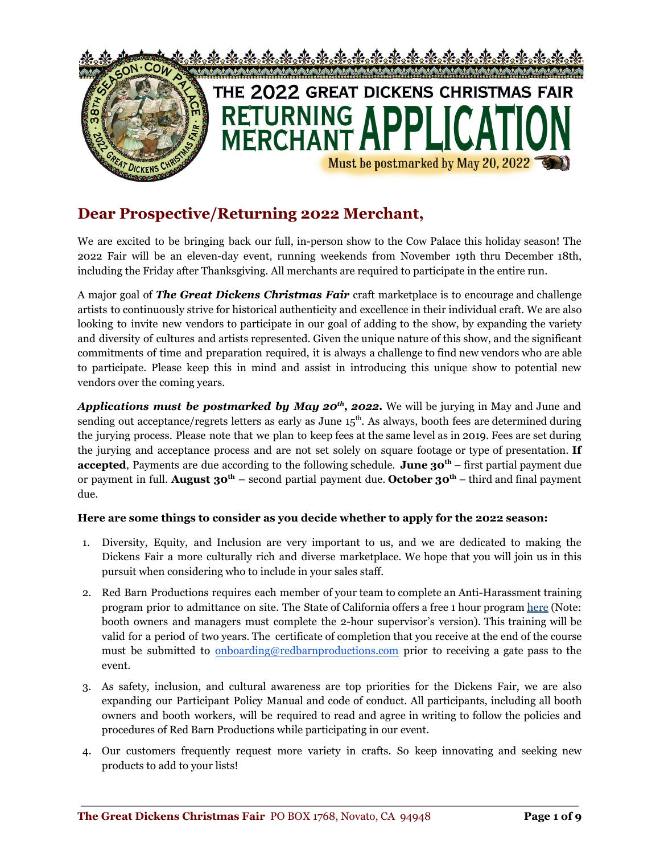

### **Dear Prospective/Returning 2022 Merchant,**

We are excited to be bringing back our full, in-person show to the Cow Palace this holiday season! The 2022 Fair will be an eleven-day event, running weekends from November 19th thru December 18th, including the Friday after Thanksgiving. All merchants are required to participate in the entire run.

A major goal of *The Great Dickens Christmas Fair* craft marketplace is to encourage and challenge artists to continuously strive for historical authenticity and excellence in their individual craft. We are also looking to invite new vendors to participate in our goal of adding to the show, by expanding the variety and diversity of cultures and artists represented. Given the unique nature of this show, and the significant commitments of time and preparation required, it is always a challenge to find new vendors who are able to participate. Please keep this in mind and assist in introducing this unique show to potential new vendors over the coming years.

*Applications must be postmarked by May 20 th , 2022.* We will be jurying in May and June and sending out acceptance/regrets letters as early as June 15<sup>th</sup>. As always, booth fees are determined during the jurying process. Please note that we plan to keep fees at the same level as in 2019. Fees are set during the jurying and acceptance process and are not set solely on square footage or type of presentation. **If accepted**, Payments are due according to the following schedule. **June 30 th** – first partial payment due or payment in full. **August 30 th** – second partial payment due. **October 30 th** – third and final payment due.

#### **Here are some things to consider as you decide whether to apply for the 2022 season:**

- 1. Diversity, Equity, and Inclusion are very important to us, and we are dedicated to making the Dickens Fair a more culturally rich and diverse marketplace. We hope that you will join us in this pursuit when considering who to include in your sales staff.
- 2. Red Barn Productions requires each member of your team to complete an Anti-Harassment training program prior to admittance on site. The State of California offers a free 1 hour program [here](https://www.dfeh.ca.gov/shpt/) (Note: booth owners and managers must complete the 2-hour supervisor's version). This training will be valid for a period of two years. The certificate of completion that you receive at the end of the course must be submitted to [onboarding@redbarnproductions.com](mailto:onboarding@redbarnproductions.com) prior to receiving a gate pass to the event.
- 3. As safety, inclusion, and cultural awareness are top priorities for the Dickens Fair, we are also expanding our Participant Policy Manual and code of conduct. All participants, including all booth owners and booth workers, will be required to read and agree in writing to follow the policies and procedures of Red Barn Productions while participating in our event.
- 4. Our customers frequently request more variety in crafts. So keep innovating and seeking new products to add to your lists!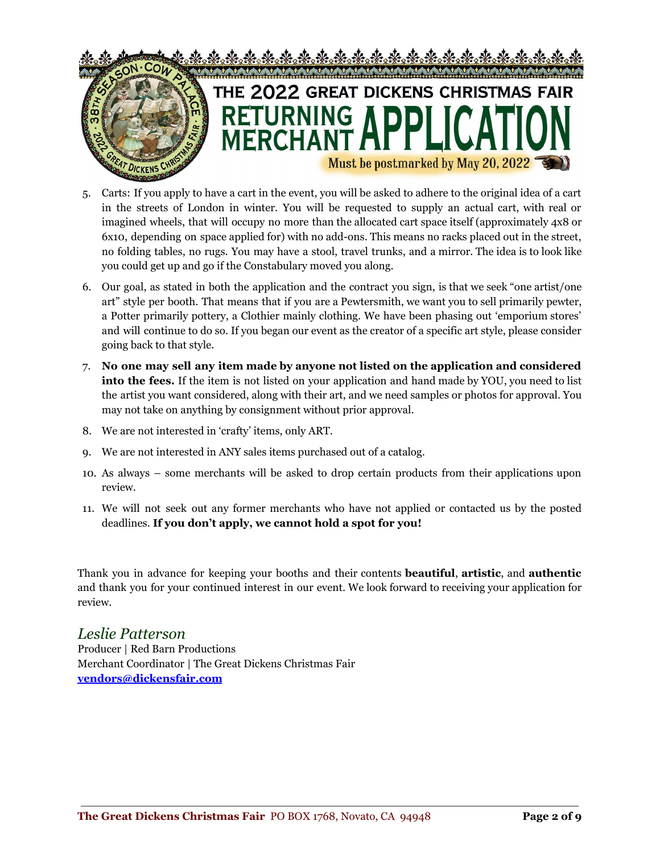

- 5. Carts: If you apply to have a cart in the event, you will be asked to adhere to the original idea of a cart in the streets of London in winter. You will be requested to supply an actual cart, with real or imagined wheels, that will occupy no more than the allocated cart space itself (approximately 4x8 or 6x10, depending on space applied for) with no add-ons. This means no racks placed out in the street, no folding tables, no rugs. You may have a stool, travel trunks, and a mirror. The idea is to look like you could get up and go if the Constabulary moved you along.
- 6. Our goal, as stated in both the application and the contract you sign, is that we seek "one artist/one art" style per booth. That means that if you are a Pewtersmith, we want you to sell primarily pewter, a Potter primarily pottery, a Clothier mainly clothing. We have been phasing out 'emporium stores' and will continue to do so. If you began our event as the creator of a specific art style, please consider going back to that style.
- 7. **No one may sell any item made by anyone not listed on the application and considered into the fees.** If the item is not listed on your application and hand made by YOU, you need to list the artist you want considered, along with their art, and we need samples or photos for approval. You may not take on anything by consignment without prior approval.
- 8. We are not interested in 'crafty' items, only ART.
- 9. We are not interested in ANY sales items purchased out of a catalog.
- 10. As always some merchants will be asked to drop certain products from their applications upon review.
- 11. We will not seek out any former merchants who have not applied or contacted us by the posted deadlines. **If you don't apply, we cannot hold a spot for you!**

Thank you in advance for keeping your booths and their contents **beautiful**, **artistic**, and **authentic** and thank you for your continued interest in our event. We look forward to receiving your application for review.

#### *Leslie Patterson*

Producer | Red Barn Productions Merchant Coordinator | The Great Dickens Christmas Fair **[vendors@dickensfair.com](mailto:Vendors.dickensfair@gmail.com)**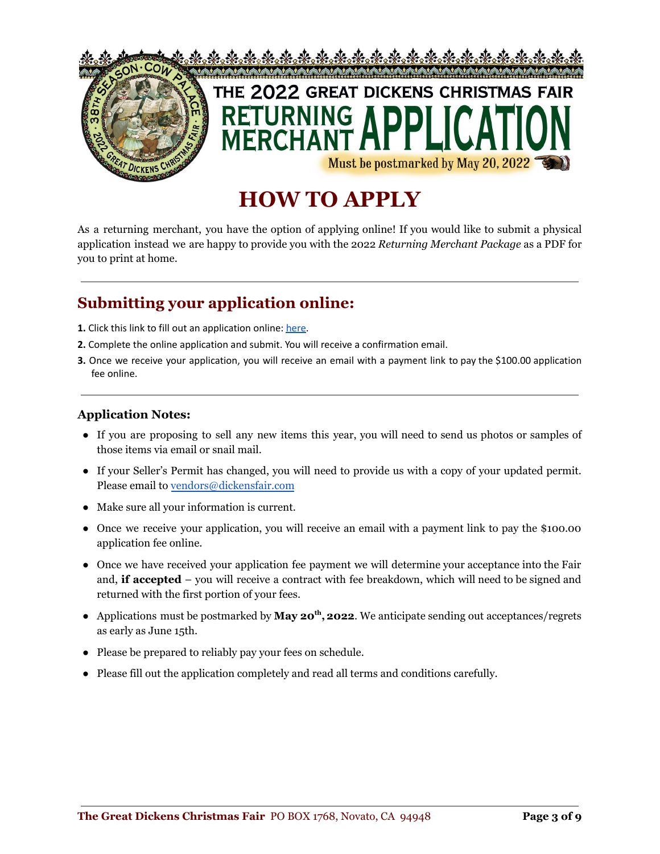

# **HOW TO APPLY**

As a returning merchant, you have the option of applying online! If you would like to submit a physical application instead we are happy to provide you with the 2022 *Returning Merchant Package* as a PDF for you to print at home.

### **Submitting your application online:**

- **1.** Click this link to fill out an application online: [here](https://forms.gle/yV4amiFWseRDhAEn8).
- **2.** Complete the online application and submit. You will receive a confirmation email.
- **3.** Once we receive your application, you will receive an email with a payment link to pay the \$100.00 application fee online.

#### **Application Notes:**

- If you are proposing to sell any new items this year, you will need to send us photos or samples of those items via email or snail mail.
- If your Seller's Permit has changed, you will need to provide us with a copy of your updated permit. Please email to [vendors@dickensfair.com](mailto:vendors@dickensfair.com)
- Make sure all your information is current.
- Once we receive your application, you will receive an email with a payment link to pay the \$100.00 application fee online.
- Once we have received your application fee payment we will determine your acceptance into the Fair and, **if accepted** – you will receive a contract with fee breakdown, which will need to be signed and returned with the first portion of your fees.
- Applications must be postmarked by May 20<sup>th</sup>, 2022. We anticipate sending out acceptances/regrets as early as June 15th.
- Please be prepared to reliably pay your fees on schedule.
- Please fill out the application completely and read all terms and conditions carefully.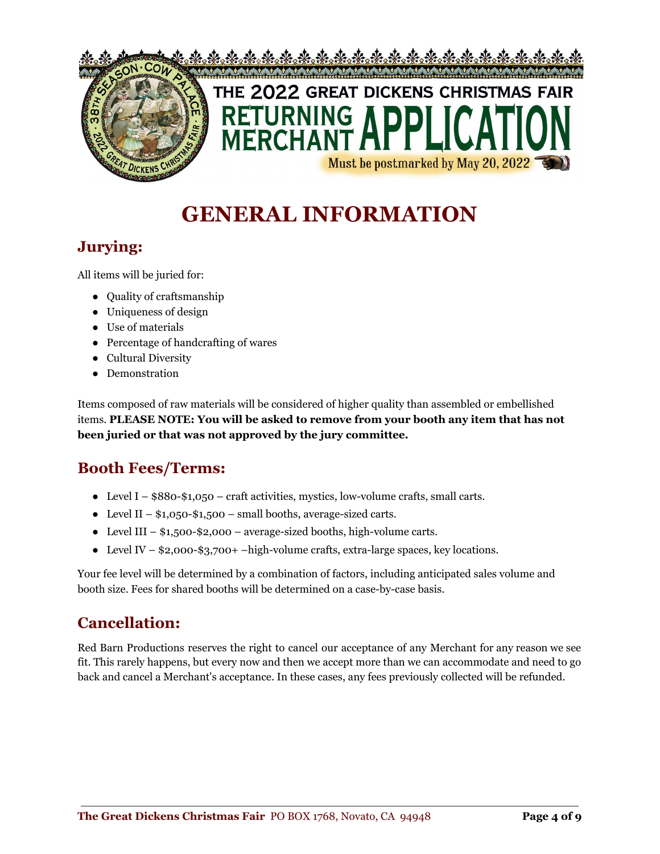

# **GENERAL INFORMATION**

### **Jurying:**

All items will be juried for:

- Quality of craftsmanship
- Uniqueness of design
- Use of materials
- Percentage of handcrafting of wares
- Cultural Diversity
- Demonstration

Items composed of raw materials will be considered of higher quality than assembled or embellished items. **PLEASE NOTE: You will be asked to remove from your booth any item that has not been juried or that was not approved by the jury committee.**

### **Booth Fees/Terms:**

- Level I  $$880-\$1,050$  craft activities, mystics, low-volume crafts, small carts.
- Level II  $$1,050$ - $$1,500$  small booths, average-sized carts.
- Level III  $$1,500 $2,000 average-sized$  booths, high-volume carts.
- Level IV  $$2,000-$3,700+ -high-volume crafts, extra-large spaces, key locations.$

Your fee level will be determined by a combination of factors, including anticipated sales volume and booth size. Fees for shared booths will be determined on a case-by-case basis.

### **Cancellation:**

Red Barn Productions reserves the right to cancel our acceptance of any Merchant for any reason we see fit. This rarely happens, but every now and then we accept more than we can accommodate and need to go back and cancel a Merchant's acceptance. In these cases, any fees previously collected will be refunded.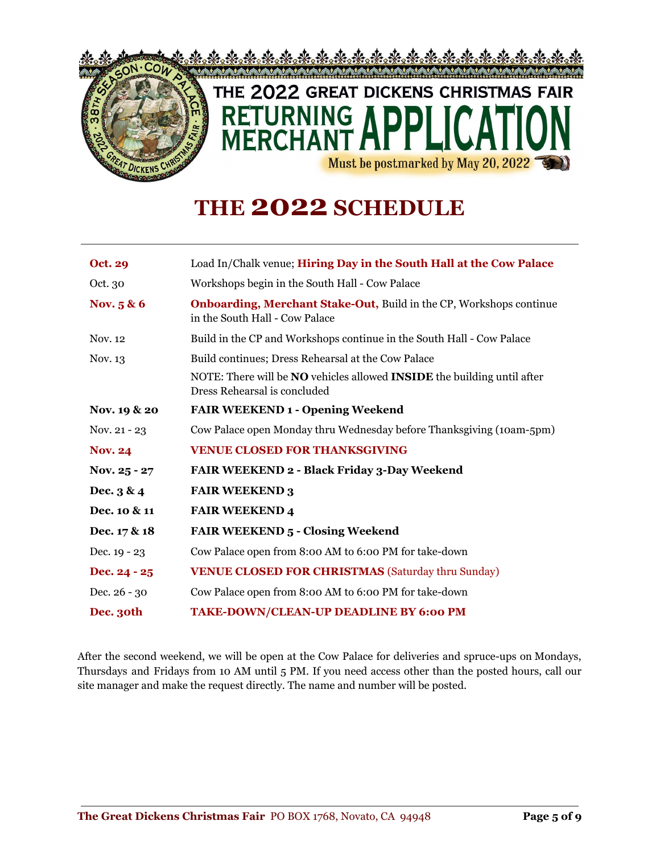

# **THE 2022 SCHEDULE**

| <b>Oct. 29</b> | Load In/Chalk venue; Hiring Day in the South Hall at the Cow Palace                                                   |
|----------------|-----------------------------------------------------------------------------------------------------------------------|
| Oct. 30        | Workshops begin in the South Hall - Cow Palace                                                                        |
| Nov. $5 & 6$   | <b>Onboarding, Merchant Stake-Out, Build in the CP, Workshops continue</b><br>in the South Hall - Cow Palace          |
| Nov. 12        | Build in the CP and Workshops continue in the South Hall - Cow Palace                                                 |
| Nov. 13        | Build continues; Dress Rehearsal at the Cow Palace                                                                    |
|                | NOTE: There will be <b>NO</b> vehicles allowed <b>INSIDE</b> the building until after<br>Dress Rehearsal is concluded |
| Nov. 19 & 20   | <b>FAIR WEEKEND 1 - Opening Weekend</b>                                                                               |
| Nov. 21 - 23   | Cow Palace open Monday thru Wednesday before Thanksgiving (10am-5pm)                                                  |
| <b>Nov. 24</b> | <b>VENUE CLOSED FOR THANKSGIVING</b>                                                                                  |
| Nov. $25 - 27$ | FAIR WEEKEND 2 - Black Friday 3-Day Weekend                                                                           |
| Dec. $3 & 4$   | <b>FAIR WEEKEND 3</b>                                                                                                 |
| Dec. 10 & 11   | <b>FAIR WEEKEND 4</b>                                                                                                 |
| Dec. 17 & 18   | <b>FAIR WEEKEND 5 - Closing Weekend</b>                                                                               |
| Dec. $19 - 23$ | Cow Palace open from 8:00 AM to 6:00 PM for take-down                                                                 |
| Dec. $24 - 25$ | <b>VENUE CLOSED FOR CHRISTMAS (Saturday thru Sunday)</b>                                                              |
| Dec. 26 - 30   | Cow Palace open from 8:00 AM to 6:00 PM for take-down                                                                 |
| Dec. 30th      | TAKE-DOWN/CLEAN-UP DEADLINE BY 6:00 PM                                                                                |

After the second weekend, we will be open at the Cow Palace for deliveries and spruce-ups on Mondays, Thursdays and Fridays from 10 AM until 5 PM. If you need access other than the posted hours, call our site manager and make the request directly. The name and number will be posted.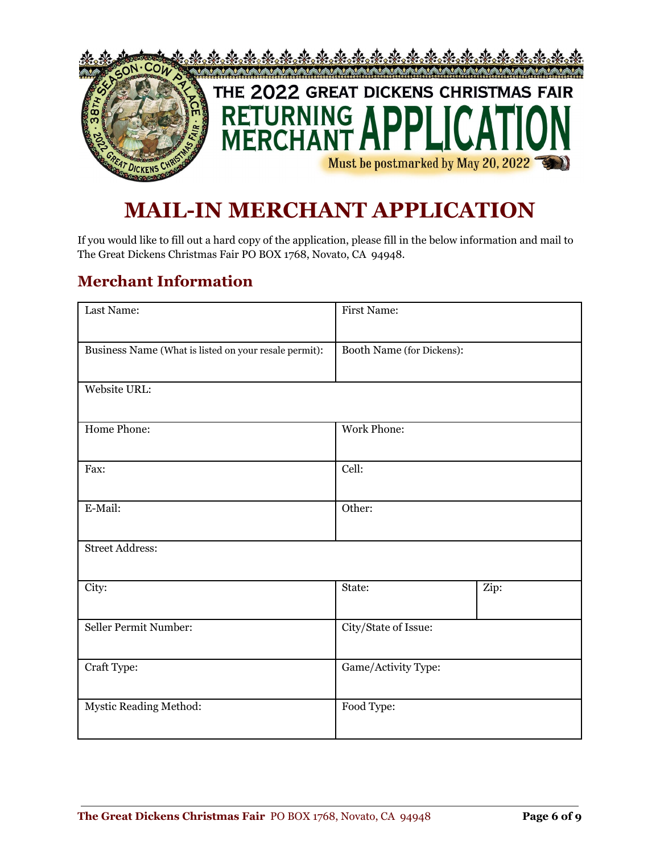

### **MAIL-IN MERCHANT APPLICATION**

If you would like to fill out a hard copy of the application, please fill in the below information and mail to The Great Dickens Christmas Fair PO BOX 1768, Novato, CA 94948.

#### **Merchant Information**

| Last Name:                                            | <b>First Name:</b>        |      |
|-------------------------------------------------------|---------------------------|------|
| Business Name (What is listed on your resale permit): | Booth Name (for Dickens): |      |
| Website URL:                                          |                           |      |
| Home Phone:                                           | Work Phone:               |      |
| Fax:                                                  | Cell:                     |      |
| E-Mail:                                               | Other:                    |      |
| <b>Street Address:</b>                                |                           |      |
| City:                                                 | State:                    | Zip: |
| Seller Permit Number:                                 | City/State of Issue:      |      |
| Craft Type:                                           | Game/Activity Type:       |      |
| Mystic Reading Method:                                | Food Type:                |      |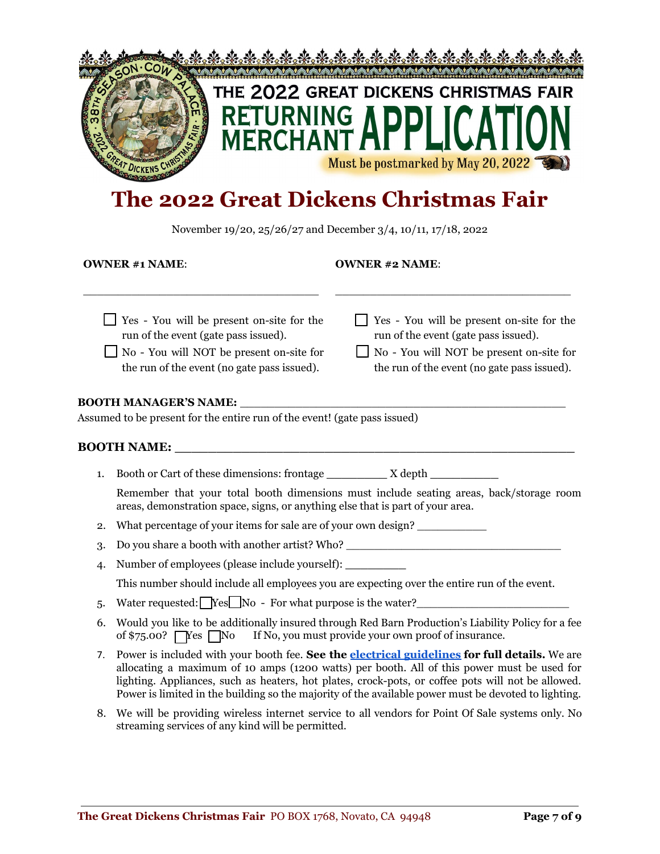

# **The 2022 Great Dickens Christmas Fair**

November 19/20, 25/26/27 and December 3/4, 10/11, 17/18, 2022

**OWNER #1 NAME**:

\_\_\_\_\_\_\_\_\_\_\_\_\_\_\_\_\_\_\_\_\_\_\_\_\_\_\_\_\_\_\_\_\_\_

#### **OWNER #2 NAME**:

\_\_\_\_\_\_\_\_\_\_\_\_\_\_\_\_\_\_\_\_\_\_\_\_\_\_\_\_\_\_\_\_\_\_

| $\Box$ Yes - You will be present on-site for the<br>run of the event (gate pass issued).<br>No - You will NOT be present on-site for<br>the run of the event (no gate pass issued). | $\Box$ Yes - You will be present on-site for the<br>run of the event (gate pass issued).<br>No - You will NOT be present on-site for<br>the run of the event (no gate pass issued). |
|-------------------------------------------------------------------------------------------------------------------------------------------------------------------------------------|-------------------------------------------------------------------------------------------------------------------------------------------------------------------------------------|
| <b>BOOTH MANAGER'S NAME:</b><br>Assumed to be present for the entire run of the event! (gate pass issued)                                                                           |                                                                                                                                                                                     |
| <b>BOOTH NAME:</b>                                                                                                                                                                  |                                                                                                                                                                                     |
| Booth or Cart of these dimensions: frontage<br>1.                                                                                                                                   | X depth                                                                                                                                                                             |

Remember that your total booth dimensions must include seating areas, back/storage room areas, demonstration space, signs, or anything else that is part of your area.

- 2. What percentage of your items for sale are of your own design?
- 3. Do you share a booth with another artist? Who?
- 4. Number of employees (please include yourself): **\_\_\_\_\_\_\_\_** This number should include all employees you are expecting over the entire run of the event.
- 5. Water requested:  $\Box$  Yes  $\Box$  No For what purpose is the water?
- 6. Would you like to be additionally insured through Red Barn Production's Liability Policy for a fee of  $\frac{575.00?}{\text{Yes}}$  No If No, you must provide your own proof of insurance.
- 7. Power is included with your booth fee. **See the electrical [guidelines](https://drive.google.com/file/d/1sUh3SoHHVqfkOfstdx83cyCymj8ZkNL9/view?usp=sharing) for full details.** We are allocating a maximum of 10 amps (1200 watts) per booth. All of this power must be used for lighting. Appliances, such as heaters, hot plates, crock-pots, or coffee pots will not be allowed. Power is limited in the building so the majority of the available power must be devoted to lighting.
- 8. We will be providing wireless internet service to all vendors for Point Of Sale systems only. No streaming services of any kind will be permitted.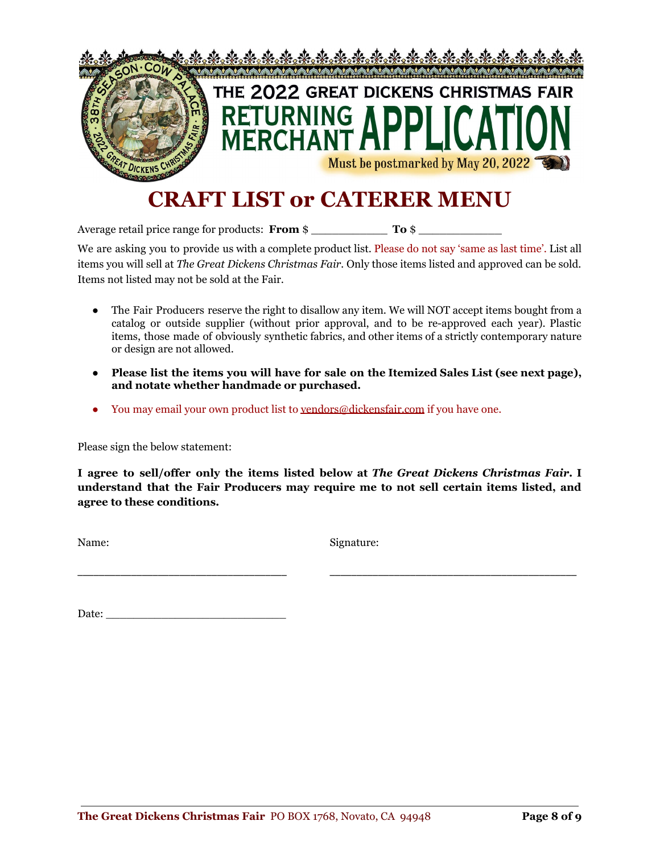

## **CRAFT LIST or CATERER MENU**

Average retail price range for products: **From** \$ \_\_\_\_\_\_\_\_\_\_\_ **To** \$

We are asking you to provide us with a complete product list. Please do not say 'same as last time'. List all items you will sell at *The Great Dickens Christmas Fair.* Only those items listed and approved can be sold. Items not listed may not be sold at the Fair.

- The Fair Producers reserve the right to disallow any item. We will NOT accept items bought from a catalog or outside supplier (without prior approval, and to be re-approved each year). Plastic items, those made of obviously synthetic fabrics, and other items of a strictly contemporary nature or design are not allowed.
- **● Please list the items you will have for sale on the Itemized Sales List (see next page), and notate whether handmade or purchased.**
- You may email your own product list to [vendors@dickensfair.com](mailto:vendors@dickensfair.com) if you have one.

Please sign the below statement:

**I agree to sell/offer only the items listed below at** *The Great Dickens Christmas Fair***. I understand that the Fair Producers may require me to not sell certain items listed, and agree to these conditions.**

\_\_\_\_\_\_\_\_\_\_\_\_\_\_\_\_\_\_\_\_\_\_\_\_\_\_\_\_\_\_\_\_\_\_\_\_\_\_\_ \_\_\_\_\_\_\_\_\_\_\_\_\_\_\_\_\_\_\_\_\_\_\_\_\_\_\_\_\_\_\_\_\_\_\_\_\_\_\_\_\_\_\_\_\_\_

Name: Signature:

Date: